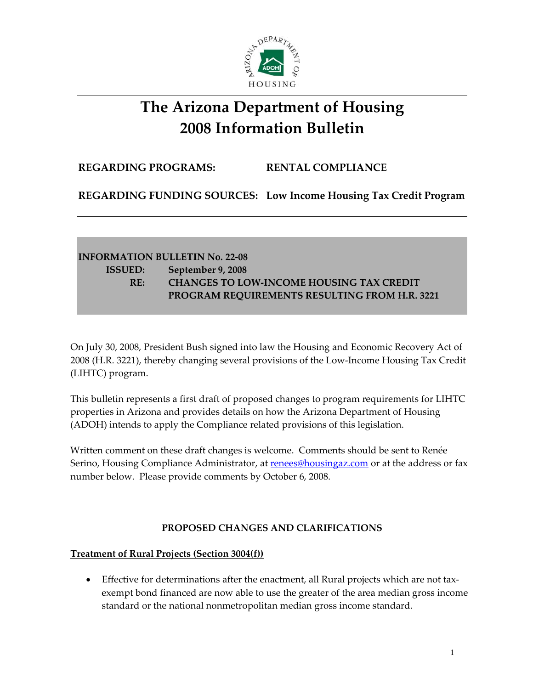

# **The Arizona Department of Housing 2008 Information Bulletin**

## **REGARDING PROGRAMS: RENTAL COMPLIANCE**

**REGARDING FUNDING SOURCES: Low Income Housing Tax Credit Program**

# **INFORMATION BULLETIN No. 22‐08 ISSUED: September 9, 2008 RE: CHANGES TO LOW‐INCOME HOUSING TAX CREDIT PROGRAM REQUIREMENTS RESULTING FROM H.R. 3221**

On July 30, 2008, President Bush signed into law the Housing and Economic Recovery Act of 2008 (H.R. 3221), thereby changing several provisions of the Low‐Income Housing Tax Credit (LIHTC) program.

This bulletin represents a first draft of proposed changes to program requirements for LIHTC properties in Arizona and provides details on how the Arizona Department of Housing (ADOH) intends to apply the Compliance related provisions of this legislation.

Written comment on these draft changes is welcome. Comments should be sent to Renée Serino, Housing Compliance Administrator, at [renees@housingaz.com](mailto:renees@housingaz.com) or at the address or fax number below. Please provide comments by October 6, 2008.

#### **PROPOSED CHANGES AND CLARIFICATIONS**

#### **Treatment of Rural Projects (Section 3004(f))**

• Effective for determinations after the enactment, all Rural projects which are not taxexempt bond financed are now able to use the greater of the area median gross income standard or the national nonmetropolitan median gross income standard.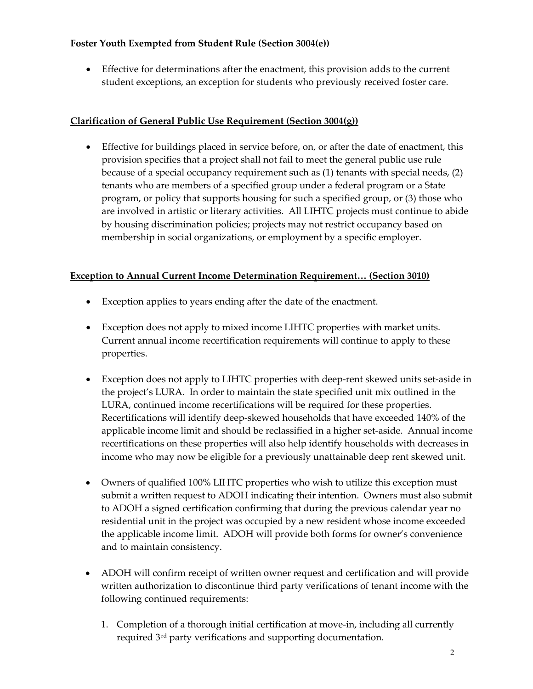#### **Foster Youth Exempted from Student Rule (Section 3004(e))**

• Effective for determinations after the enactment, this provision adds to the current student exceptions, an exception for students who previously received foster care.

# **Clarification of General Public Use Requirement (Section 3004(g))**

• Effective for buildings placed in service before, on, or after the date of enactment, this provision specifies that a project shall not fail to meet the general public use rule because of a special occupancy requirement such as (1) tenants with special needs, (2) tenants who are members of a specified group under a federal program or a State program, or policy that supports housing for such a specified group, or (3) those who are involved in artistic or literary activities. All LIHTC projects must continue to abide by housing discrimination policies; projects may not restrict occupancy based on membership in social organizations, or employment by a specific employer.

## **Exception to Annual Current Income Determination Requirement… (Section 3010)**

- Exception applies to years ending after the date of the enactment.
- Exception does not apply to mixed income LIHTC properties with market units. Current annual income recertification requirements will continue to apply to these properties.
- Exception does not apply to LIHTC properties with deep-rent skewed units set-aside in the project's LURA. In order to maintain the state specified unit mix outlined in the LURA, continued income recertifications will be required for these properties. Recertifications will identify deep-skewed households that have exceeded 140% of the applicable income limit and should be reclassified in a higher set‐aside. Annual income recertifications on these properties will also help identify households with decreases in income who may now be eligible for a previously unattainable deep rent skewed unit.
- Owners of qualified 100% LIHTC properties who wish to utilize this exception must submit a written request to ADOH indicating their intention. Owners must also submit to ADOH a signed certification confirming that during the previous calendar year no residential unit in the project was occupied by a new resident whose income exceeded the applicable income limit. ADOH will provide both forms for owner's convenience and to maintain consistency.
- ADOH will confirm receipt of written owner request and certification and will provide written authorization to discontinue third party verifications of tenant income with the following continued requirements:
	- 1. Completion of a thorough initial certification at move‐in, including all currently required 3rd party verifications and supporting documentation.